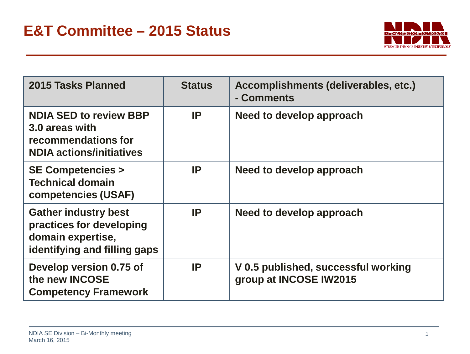

| 2015 Tasks Planned                                                                                           | <b>Status</b> | Accomplishments (deliverables, etc.)<br>- Comments            |
|--------------------------------------------------------------------------------------------------------------|---------------|---------------------------------------------------------------|
| <b>NDIA SED to review BBP</b><br>3.0 areas with<br>recommendations for<br><b>NDIA actions/initiatives</b>    | IP            | Need to develop approach                                      |
| <b>SE Competencies &gt;</b><br><b>Technical domain</b><br><b>competencies (USAF)</b>                         | IP            | Need to develop approach                                      |
| <b>Gather industry best</b><br>practices for developing<br>domain expertise,<br>identifying and filling gaps | IP            | Need to develop approach                                      |
| Develop version 0.75 of<br>the new <b>INCOSE</b><br><b>Competency Framework</b>                              | IP            | V 0.5 published, successful working<br>group at INCOSE IW2015 |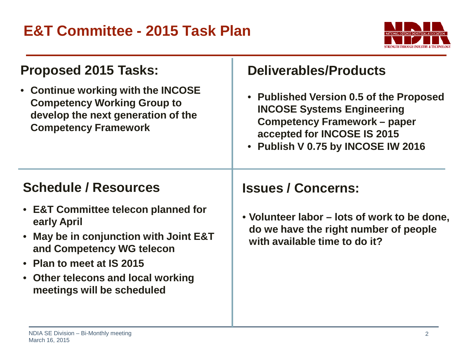

| <b>Proposed 2015 Tasks:</b><br>• Continue working with the INCOSE<br><b>Competency Working Group to</b><br>develop the next generation of the<br><b>Competency Framework</b>                                               | <b>Deliverables/Products</b><br>• Published Version 0.5 of the Proposed<br><b>INCOSE Systems Engineering</b><br><b>Competency Framework – paper</b><br>accepted for INCOSE IS 2015<br>• Publish V 0.75 by INCOSE IW 2016 |
|----------------------------------------------------------------------------------------------------------------------------------------------------------------------------------------------------------------------------|--------------------------------------------------------------------------------------------------------------------------------------------------------------------------------------------------------------------------|
| <b>Schedule / Resources</b>                                                                                                                                                                                                | <b>Issues / Concerns:</b>                                                                                                                                                                                                |
| • E&T Committee telecon planned for<br>early April<br>• May be in conjunction with Joint E&T<br>and Competency WG telecon<br>• Plan to meet at IS 2015<br>• Other telecons and local working<br>meetings will be scheduled | • Volunteer labor – lots of work to be done,<br>do we have the right number of people<br>with available time to do it?                                                                                                   |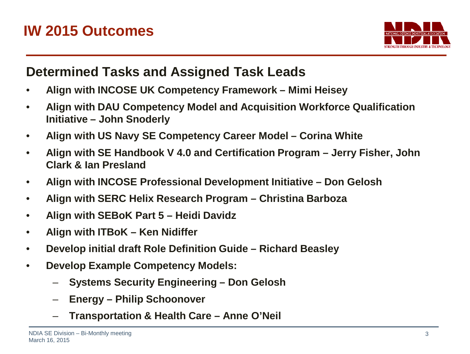

## **Determined Tasks and Assigned Task Leads**

- **Align with INCOSE UK Competency Framework – Mimi Heisey**
- **Align with DAU Competency Model and Acquisition Workforce Qualification Initiative – John Snoderly**
- **Align with US Navy SE Competency Career Model – Corina White**
- **Align with SE Handbook V 4.0 and Certification Program – Jerry Fisher, John Clark & Ian Presland**
- **Align with INCOSE Professional Development Initiative – Don Gelosh**
- **Align with SERC Helix Research Program – Christina Barboza**
- **Align with SEBoK Part 5 – Heidi Davidz**
- **Align with ITBoK – Ken Nidiffer**
- **Develop initial draft Role Definition Guide – Richard Beasley**
- **Develop Example Competency Models:**
	- **Systems Security Engineering – Don Gelosh**
	- **Energy – Philip Schoonover**
	- **Transportation & Health Care – Anne O'Neil**